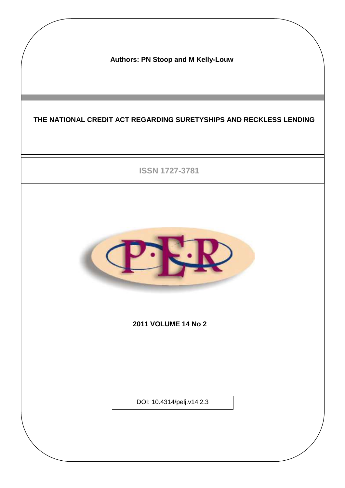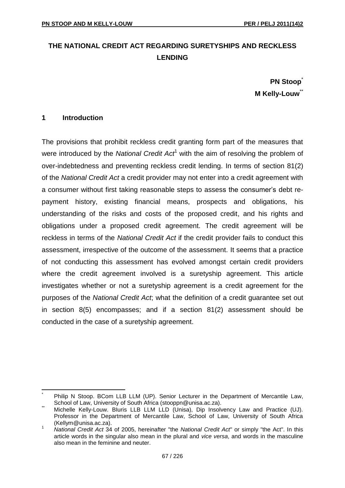# **THE NATIONAL CREDIT ACT REGARDING SURETYSHIPS AND RECKLESS LENDING**

**PN Stoop**\* **M Kelly-Louw**\*\*

## **1 Introduction**

The provisions that prohibit reckless credit granting form part of the measures that were introduced by the *National Credit Act*<sup>1</sup> with the aim of resolving the problem of over-indebtedness and preventing reckless credit lending. In terms of section 81(2) of the *National Credit Act* a credit provider may not enter into a credit agreement with a consumer without first taking reasonable steps to assess the consumer's debt repayment history, existing financial means, prospects and obligations, his understanding of the risks and costs of the proposed credit, and his rights and obligations under a proposed credit agreement. The credit agreement will be reckless in terms of the *National Credit Act* if the credit provider fails to conduct this assessment, irrespective of the outcome of the assessment. It seems that a practice of not conducting this assessment has evolved amongst certain credit providers where the credit agreement involved is a suretyship agreement. This article investigates whether or not a suretyship agreement is a credit agreement for the purposes of the *National Credit Act*; what the definition of a credit guarantee set out in section 8(5) encompasses; and if a section 81(2) assessment should be conducted in the case of a suretyship agreement.

**<sup>.</sup>** \* Philip N Stoop. BCom LLB LLM (UP). Senior Lecturer in the Department of Mercantile Law, School of Law, University of South Africa (stooppn@unisa.ac.za).

Michelle Kelly-Louw. BIuris LLB LLM LLD (Unisa), Dip Insolvency Law and Practice (UJ). Professor in the Department of Mercantile Law, School of Law, University of South Africa (Kellym@unisa.ac.za).

<sup>1</sup> *National Credit Act* 34 of 2005, hereinafter "the *National Credit Act*" or simply "the Act". In this article words in the singular also mean in the plural and *vice versa*, and words in the masculine also mean in the feminine and neuter.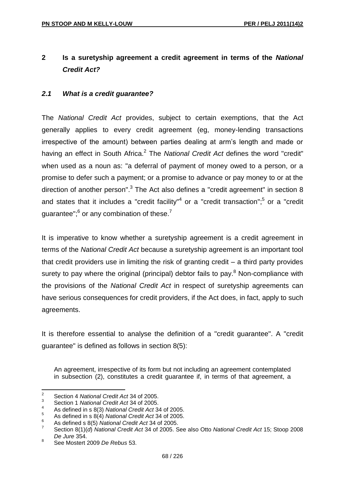# **2 Is a suretyship agreement a credit agreement in terms of the** *National Credit Act?*

# *2.1 What is a credit guarantee?*

The *National Credit Act* provides, subject to certain exemptions, that the Act generally applies to every credit agreement (eg, money-lending transactions irrespective of the amount) between parties dealing at arm's length and made or having an effect in South Africa.<sup>2</sup> The National Credit Act defines the word "credit" when used as a noun as: "a deferral of payment of money owed to a person, or a promise to defer such a payment; or a promise to advance or pay money to or at the direction of another person".<sup>3</sup> The Act also defines a "credit agreement" in section 8 and states that it includes a "credit facility"<sup>4</sup> or a "credit transaction";<sup>5</sup> or a "credit guarantee";<sup>6</sup> or any combination of these.<sup>7</sup>

It is imperative to know whether a suretyship agreement is a credit agreement in terms of the *National Credit Act* because a suretyship agreement is an important tool that credit providers use in limiting the risk of granting credit – a third party provides surety to pay where the original (principal) debtor fails to pay.<sup>8</sup> Non-compliance with the provisions of the *National Credit Act* in respect of suretyship agreements can have serious consequences for credit providers, if the Act does, in fact, apply to such agreements.

It is therefore essential to analyse the definition of a "credit guarantee". A "credit guarantee" is defined as follows in section 8(5):

An agreement, irrespective of its form but not including an agreement contemplated in subsection (2), constitutes a credit guarantee if, in terms of that agreement, a

 $\frac{1}{2}$ Section 4 *National Credit Act* 34 of 2005.

<sup>3</sup> Section 1 *National Credit Act* 34 of 2005.

<sup>4</sup> As defined in s 8(3) *National Credit Act* 34 of 2005.

<sup>5</sup> As defined in s 8(4) *National Credit Act* 34 of 2005.

<sup>6</sup> As defined s 8(5) *National Credit Act* 34 of 2005.

<sup>7</sup> Section 8(1)(*d*) *National Credit Act* 34 of 2005. See also Otto *National Credit Act* 15; Stoop 2008 *De Jure* 354. 8

See Mostert 2009 *De Rebus* 53.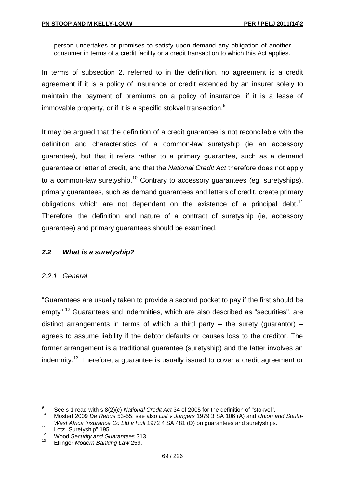person undertakes or promises to satisfy upon demand any obligation of another consumer in terms of a credit facility or a credit transaction to which this Act applies.

In terms of subsection 2, referred to in the definition, no agreement is a credit agreement if it is a policy of insurance or credit extended by an insurer solely to maintain the payment of premiums on a policy of insurance, if it is a lease of immovable property, or if it is a specific stokvel transaction.<sup>9</sup>

It may be argued that the definition of a credit guarantee is not reconcilable with the definition and characteristics of a common-law suretyship (ie an accessory guarantee), but that it refers rather to a primary guarantee, such as a demand guarantee or letter of credit, and that the *National Credit Act* therefore does not apply to a common-law suretyship.<sup>10</sup> Contrary to accessory guarantees (eg, suretyships), primary guarantees, such as demand guarantees and letters of credit, create primary obligations which are not dependent on the existence of a principal debt.<sup>11</sup> Therefore, the definition and nature of a contract of suretyship (ie, accessory guarantee) and primary guarantees should be examined.

## *2.2 What is a suretyship?*

# *2.2.1 General*

"Guarantees are usually taken to provide a second pocket to pay if the first should be empty".<sup>12</sup> Guarantees and indemnities, which are also described as "securities", are distinct arrangements in terms of which a third party – the surety (quarantor) – agrees to assume liability if the debtor defaults or causes loss to the creditor. The former arrangement is a traditional guarantee (suretyship) and the latter involves an indemnity.<sup>13</sup> Therefore, a guarantee is usually issued to cover a credit agreement or

<sup>–&</sup>lt;br>9 See s 1 read with s 8(2)(*c*) *National Credit Act* 34 of 2005 for the definition of "stokvel".

<sup>10</sup> Mostert 2009 *De Rebus* 53-55; see also *List v Jungers* 1979 3 SA 106 (A) and *Union and South-West Africa Insurance Co Ltd v Hull* 1972 4 SA 481 (D) on guarantees and suretyships.

<sup>&</sup>lt;sup>11</sup> Lotz "Suretyship" 195.

<sup>12</sup> Wood *Security and Guarantees* 313.

<sup>13</sup> Ellinger *Modern Banking Law* 259.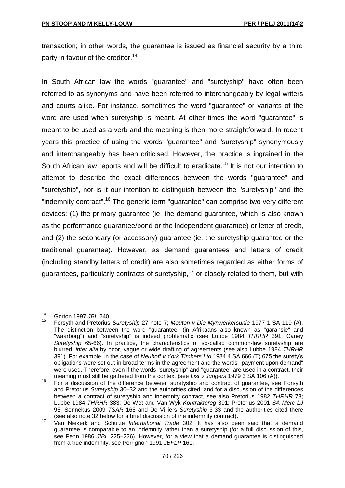transaction; in other words, the guarantee is issued as financial security by a third party in favour of the creditor.<sup>14</sup>

In South African law the words "guarantee" and "suretyship" have often been referred to as synonyms and have been referred to interchangeably by legal writers and courts alike. For instance, sometimes the word "guarantee" or variants of the word are used when suretyship is meant. At other times the word "guarantee" is meant to be used as a verb and the meaning is then more straightforward. In recent years this practice of using the words "guarantee" and "suretyship" synonymously and interchangeably has been criticised. However, the practice is ingrained in the South African law reports and will be difficult to eradicate.<sup>15</sup> It is not our intention to attempt to describe the exact differences between the words "guarantee" and "suretyship", nor is it our intention to distinguish between the "suretyship" and the "indemnity contract".<sup>16</sup> The generic term "guarantee" can comprise two very different devices: (1) the primary guarantee (ie, the demand guarantee, which is also known as the performance guarantee/bond or the independent guarantee) or letter of credit, and (2) the secondary (or accessory) guarantee (ie, the suretyship guarantee or the traditional guarantee). However, as demand guarantees and letters of credit (including standby letters of credit) are also sometimes regarded as either forms of guarantees, particularly contracts of suretyship, $17$  or closely related to them, but with

 $14$ <sup>14</sup> Gorton 1997 *JBL* 240.

<sup>15</sup> Forsyth and Pretorius *Suretyship* 27 note 7; *Mouton v Die Mynwerkersunie* 1977 1 SA 119 (A). The distinction between the word "guarantee" (in Afrikaans also known as "garansie" and "waarborg") and "suretyship" is indeed problematic (see Lubbe 1984 *THRHR* 391; Caney *Suretyship* 65-66). In practice, the characteristics of so-called common-law suretyship are blurred, *inter alia* by poor, vague or wide drafting of agreements (see also Lubbe 1984 *THRHR* 391). For example, in the case of *Neuhoff v York Timbers Ltd* 1984 4 SA 666 (T) 675 the surety's obligations were set out in broad terms in the agreement and the words "payment upon demand" were used. Therefore, even if the words "suretyship" and "guarantee" are used in a contract, their meaning must still be gathered from the context (see *List v Jungers* 1979 3 SA 106 (A)).

<sup>&</sup>lt;sup>16</sup> For a discussion of the difference between suretyship and contract of guarantee, see Forsyth and Pretorius *Suretyship* 30–32 and the authorities cited; and for a discussion of the differences between a contract of suretyship and indemnity contract, see also Pretorius 1982 *THRHR* 73; Lubbe 1984 *THRHR* 383; De Wet and Van Wyk *Kontraktereg* 391; Pretorius 2001 *SA Merc LJ* 95; Sonnekus 2009 *TSAR* 165 and De Villiers *Suretyship* 3-33 and the authorities cited there (see also note 32 below for a brief discussion of the indemnity contract).

<sup>17</sup> Van Niekerk and Schulze *International Trade* 302. It has also been said that a demand guarantee is comparable to an indemnity rather than a suretyship (for a full discussion of this, see Penn 1986 *JIBL* 225–226). However, for a view that a demand guarantee is distinguished from a true indemnity, see Perrignon 1991 *JBFLP* 161.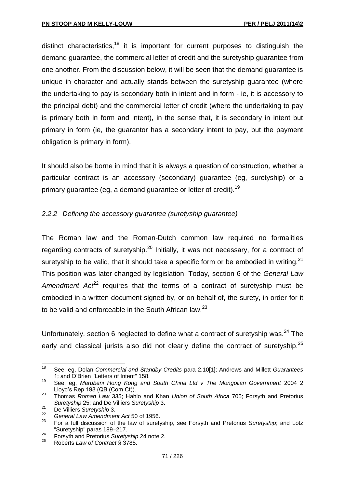distinct characteristics,<sup>18</sup> it is important for current purposes to distinguish the demand guarantee, the commercial letter of credit and the suretyship guarantee from one another. From the discussion below, it will be seen that the demand guarantee is unique in character and actually stands between the suretyship guarantee (where the undertaking to pay is secondary both in intent and in form - ie, it is accessory to the principal debt) and the commercial letter of credit (where the undertaking to pay is primary both in form and intent), in the sense that, it is secondary in intent but primary in form (ie, the guarantor has a secondary intent to pay, but the payment obligation is primary in form).

It should also be borne in mind that it is always a question of construction, whether a particular contract is an accessory (secondary) guarantee (eg, suretyship) or a primary guarantee (eg, a demand guarantee or letter of credit).<sup>19</sup>

## *2.2.2 Defining the accessory guarantee (suretyship guarantee)*

The Roman law and the Roman-Dutch common law required no formalities regarding contracts of suretyship.<sup>20</sup> Initially, it was not necessary, for a contract of suretyship to be valid, that it should take a specific form or be embodied in writing.  $21$ This position was later changed by legislation. Today, section 6 of the *General Law*  Amendment Act<sup>22</sup> requires that the terms of a contract of suretyship must be embodied in a written document signed by, or on behalf of, the surety, in order for it to be valid and enforceable in the South African law.<sup>23</sup>

Unfortunately, section 6 neglected to define what a contract of suretyship was.<sup>24</sup> The early and classical jurists also did not clearly define the contract of suretyship.<sup>25</sup>

<sup>18</sup> <sup>18</sup> See, eg, Dolan *Commercial and Standby Credits* para 2.10[1]; Andrews and Millett *Guarantees* 1; and O'Brien "Letters of Intent" 158.

<sup>19</sup> See, eg, *Marubeni Hong Kong and South China Ltd v The Mongolian Government* 2004 2 Lloyd's Rep 198 (QB (Com Ct)).

<sup>20</sup> Thomas *Roman Law* 335; Hahlo and Khan *Union of South Africa* 705; Forsyth and Pretorius *Suretyship* 25; and De Villiers *Suretyship* 3.

<sup>21</sup> De Villiers *Suretyship* 3.

<sup>22</sup> *General Law Amendment Act* 50 of 1956.

<sup>23</sup> For a full discussion of the law of suretyship, see Forsyth and Pretorius *Suretyship*; and Lotz "Suretyship" paras 189–217.

<sup>&</sup>lt;sup>24</sup> Forsyth and Pretorius *Suretyship* 24 note 2.<br><sup>25</sup> Fort and Pretorius *Suretyship* 24 note 2.

<sup>25</sup> Roberts *Law of Contract* § 3785.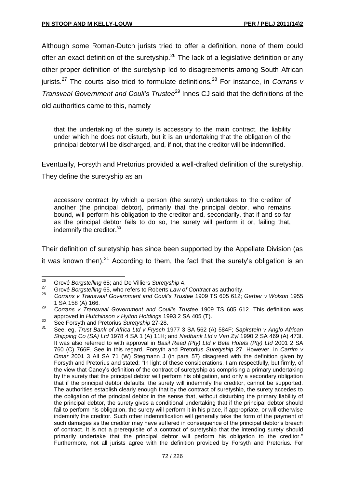Although some Roman-Dutch jurists tried to offer a definition, none of them could offer an exact definition of the suretyship.<sup>26</sup> The lack of a legislative definition or any other proper definition of the suretyship led to disagreements among South African jurists.<sup>27</sup> The courts also tried to formulate definitions.<sup>28</sup> For instance, in *Corrans v Transvaal Government and Coull's Trustee*<sup>29</sup> Innes CJ said that the definitions of the old authorities came to this, namely

that the undertaking of the surety is accessory to the main contract, the liability under which he does not disturb, but it is an undertaking that the obligation of the principal debtor will be discharged, and, if not, that the creditor will be indemnified.

Eventually, Forsyth and Pretorius provided a well-drafted definition of the suretyship.

They define the suretyship as an

accessory contract by which a person (the surety) undertakes to the creditor of another (the principal debtor), primarily that the principal debtor, who remains bound, will perform his obligation to the creditor and, secondarily, that if and so far as the principal debtor fails to do so, the surety will perform it or, failing that, indemnify the creditor.<sup>30</sup>

Their definition of suretyship has since been supported by the Appellate Division (as it was known then).<sup>31</sup> According to them, the fact that the surety's obligation is an

<sup>26</sup> <sup>26</sup> Grové *Borgstelling* 65; and De Villiers *Suretyship* 4.

<sup>27</sup> Grové *Borgstelling* 65, who refers to Roberts *Law of Contract* as authority.

<sup>28</sup> *Corrans v Transvaal Government and Coull's Trustee* 1909 TS 605 612; *Gerber v Wolson* 1955 1 SA 158 (A) 166.

<sup>29</sup> *Corrans v Transvaal Government and Coull's Trustee* 1909 TS 605 612. This definition was approved in *Hutchinson v Hylton Holdings* 1993 2 SA 405 (T).

<sup>30</sup> See Forsyth and Pretorius *Suretyship* 27-28.

<sup>31</sup> See, eg, *Trust Bank of Africa Ltd v Frysch* 1977 3 SA 562 (A) 584F; *Sapirstein v Anglo African Shipping Co (SA) Ltd* 1978 4 SA 1 (A) 11H; and *Nedbank Ltd v Van Zyl* 1990 2 SA 469 (A) 473I. It was also referred to with approval in *Basil Read (Pty) Ltd v Beta Hotels (Pty) Ltd* 2001 2 SA 760 (C) 766F. See in this regard, Forsyth and Pretorius *Suretyship* 27. However, in *Carrim v Omar* 2001 3 All SA 71 (W) Stegmann J (in para 57) disagreed with the definition given by Forsyth and Pretorius and stated: "In light of these considerations, I am respectfully, but firmly, of the view that Caney's definition of the contract of suretyship as comprising a primary undertaking by the surety that the principal debtor will perform his obligation, and only a secondary obligation that if the principal debtor defaults, the surety will indemnify the creditor, cannot be supported. The authorities establish clearly enough that by the contract of suretyship, the surety accedes to the obligation of the principal debtor in the sense that, without disturbing the primary liability of the principal debtor, the surety gives a conditional undertaking that if the principal debtor should fail to perform his obligation, the surety will perform it in his place, if appropriate, or will otherwise indemnify the creditor. Such other indemnification will generally take the form of the payment of such damages as the creditor may have suffered in consequence of the principal debtor's breach of contract. It is not a prerequisite of a contract of suretyship that the intending surety should primarily undertake that the principal debtor will perform his obligation to the creditor." Furthermore, not all jurists agree with the definition provided by Forsyth and Pretorius. For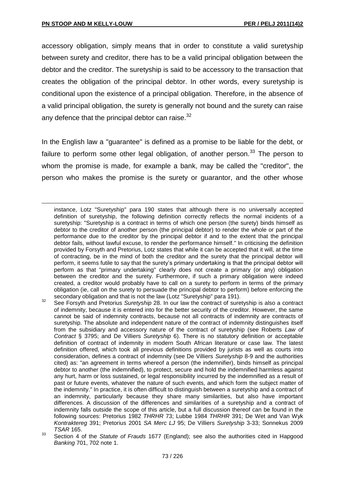**.** 

accessory obligation, simply means that in order to constitute a valid suretyship between surety and creditor, there has to be a valid principal obligation between the debtor and the creditor. The suretyship is said to be accessory to the transaction that creates the obligation of the principal debtor. In other words, every suretyship is conditional upon the existence of a principal obligation. Therefore, in the absence of a valid principal obligation, the surety is generally not bound and the surety can raise any defence that the principal debtor can raise.<sup>32</sup>

In the English law a "guarantee" is defined as a promise to be liable for the debt, or failure to perform some other legal obligation, of another person. $33$  The person to whom the promise is made, for example a bank, may be called the "creditor", the person who makes the promise is the surety or guarantor, and the other whose

instance, Lotz "Suretyship" para 190 states that although there is no universally accepted definition of suretyship, the following definition correctly reflects the normal incidents of a suretyship: "Suretyship is a contract in terms of which one person (the surety) binds himself as debtor to the creditor of another person (the principal debtor) to render the whole or part of the performance due to the creditor by the principal debtor if and to the extent that the principal debtor fails, without lawful excuse, to render the performance himself." In criticising the definition provided by Forsyth and Pretorius, Lotz states that while it can be accepted that it will, at the time of contracting, be in the mind of both the creditor and the surety that the principal debtor will perform, it seems futile to say that the surety's primary undertaking is that the principal debtor will perform as that "primary undertaking" clearly does not create a primary (or any) obligation between the creditor and the surety. Furthermore, if such a primary obligation were indeed created, a creditor would probably have to call on a surety to perform in terms of the primary obligation (ie, call on the surety to persuade the principal debtor to perform) before enforcing the secondary obligation and that is not the law (Lotz "Suretyship" para 191).

<sup>32</sup> See Forsyth and Pretorius *Suretyship* 28. In our law the contract of suretyship is also a contract of indemnity, because it is entered into for the better security of the creditor. However, the same cannot be said of indemnity contracts, because not all contracts of indemnity are contracts of suretyship. The absolute and independent nature of the contract of indemnity distinguishes itself from the subsidiary and accessory nature of the contract of suretyship (see Roberts *Law of Contract* § 3795; and De Villiers *Suretyship* 6). There is no statutory definition or acceptable definition of contract of indemnity in modern South African literature or case law. The latest definition offered, which took all previous definitions provided by jurists as well as courts into consideration, defines a contract of indemnity (see De Villiers *Suretyship* 8-9 and the authorities cited) as: "an agreement in terms whereof a person (the indemnifier), binds himself as principal debtor to another (the indemnified), to protect, secure and hold the indemnified harmless against any hurt, harm or loss sustained, or legal responsibility incurred by the indemnified as a result of past or future events, whatever the nature of such events, and which form the subject matter of the indemnity." In practice, it is often difficult to distinguish between a suretyship and a contract of an indemnity, particularly because they share many similarities, but also have important differences. A discussion of the differences and similarities of a suretyship and a contract of indemnity falls outside the scope of this article, but a full discussion thereof can be found in the following sources: Pretorius 1982 *THRHR* 73; Lubbe 1984 *THRHR* 391; De Wet and Van Wyk *Kontraktereg* 391; Pretorius 2001 *SA Merc LJ* 95; De Villiers *Suretyship* 3-33; Sonnekus 2009 *TSAR* 165.

<sup>33</sup> Section 4 of the *Statute of Frauds* 1677 (England); see also the authorities cited in Hapgood *Banking* 701, 702 note 1.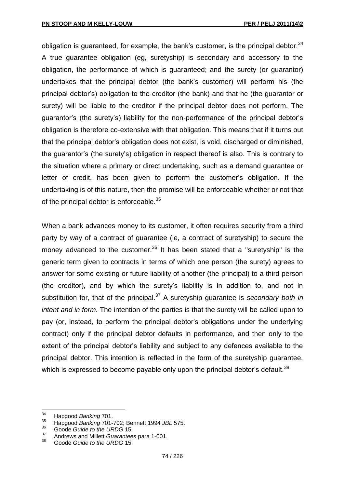obligation is guaranteed, for example, the bank's customer, is the principal debtor. $34$ A true guarantee obligation (eg, suretyship) is secondary and accessory to the obligation, the performance of which is guaranteed; and the surety (or guarantor) undertakes that the principal debtor (the bank's customer) will perform his (the principal debtor's) obligation to the creditor (the bank) and that he (the guarantor or surety) will be liable to the creditor if the principal debtor does not perform. The guarantor's (the surety's) liability for the non-performance of the principal debtor's obligation is therefore co-extensive with that obligation. This means that if it turns out that the principal debtor's obligation does not exist, is void, discharged or diminished, the guarantor's (the surety's) obligation in respect thereof is also. This is contrary to the situation where a primary or direct undertaking, such as a demand guarantee or letter of credit, has been given to perform the customer's obligation. If the undertaking is of this nature, then the promise will be enforceable whether or not that of the principal debtor is enforceable.<sup>35</sup>

When a bank advances money to its customer, it often requires security from a third party by way of a contract of guarantee (ie, a contract of suretyship) to secure the money advanced to the customer.<sup>36</sup> It has been stated that a "suretyship" is the generic term given to contracts in terms of which one person (the surety) agrees to answer for some existing or future liability of another (the principal) to a third person (the creditor), and by which the surety's liability is in addition to, and not in substitution for, that of the principal.<sup>37</sup> A suretyship guarantee is *secondary both in intent and in form*. The intention of the parties is that the surety will be called upon to pay (or, instead, to perform the principal debtor's obligations under the underlying contract) only if the principal debtor defaults in performance, and then only to the extent of the principal debtor's liability and subject to any defences available to the principal debtor. This intention is reflected in the form of the suretyship guarantee, which is expressed to become payable only upon the principal debtor's default.<sup>38</sup>

 $34$ <sup>34</sup> Hapgood *Banking* 701.

<sup>35</sup> Hapgood *Banking* 701-702; Bennett 1994 *JBL* 575.

<sup>36</sup> Goode *Guide to the URDG* 15.

<sup>37</sup> Andrews and Millett *Guarantees* para 1-001.

<sup>38</sup> Goode *Guide to the URDG* 15.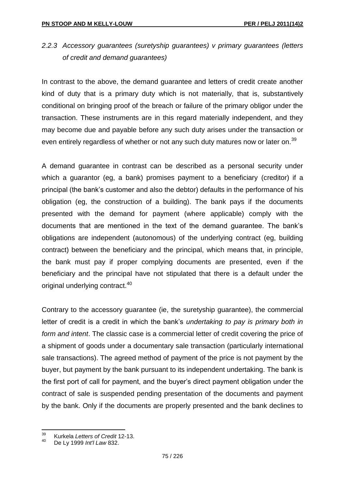# *2.2.3 Accessory guarantees (suretyship guarantees) v primary guarantees (letters of credit and demand guarantees)*

In contrast to the above, the demand guarantee and letters of credit create another kind of duty that is a primary duty which is not materially, that is, substantively conditional on bringing proof of the breach or failure of the primary obligor under the transaction. These instruments are in this regard materially independent, and they may become due and payable before any such duty arises under the transaction or even entirely regardless of whether or not any such duty matures now or later on.<sup>39</sup>

A demand guarantee in contrast can be described as a personal security under which a guarantor (eg, a bank) promises payment to a beneficiary (creditor) if a principal (the bank's customer and also the debtor) defaults in the performance of his obligation (eg, the construction of a building). The bank pays if the documents presented with the demand for payment (where applicable) comply with the documents that are mentioned in the text of the demand guarantee. The bank's obligations are independent (autonomous) of the underlying contract (eg, building contract) between the beneficiary and the principal, which means that, in principle, the bank must pay if proper complying documents are presented, even if the beneficiary and the principal have not stipulated that there is a default under the original underlying contract.<sup>40</sup>

Contrary to the accessory guarantee (ie, the suretyship guarantee), the commercial letter of credit is a credit in which the bank's *undertaking to pay is primary both in form and intent*. The classic case is a commercial letter of credit covering the price of a shipment of goods under a documentary sale transaction (particularly international sale transactions). The agreed method of payment of the price is not payment by the buyer, but payment by the bank pursuant to its independent undertaking. The bank is the first port of call for payment, and the buyer's direct payment obligation under the contract of sale is suspended pending presentation of the documents and payment by the bank. Only if the documents are properly presented and the bank declines to

<sup>39</sup> <sup>39</sup> Kurkela *Letters of Credit* 12-13.

<sup>40</sup> De Ly 1999 *Int'l Law* 832.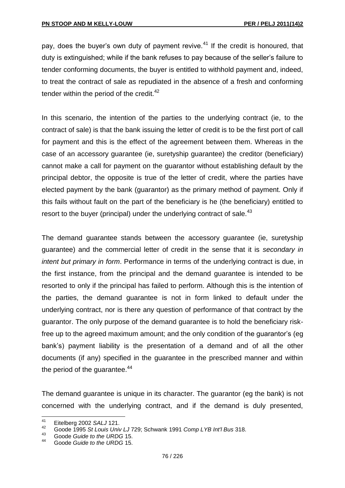pay, does the buyer's own duty of payment revive.<sup>41</sup> If the credit is honoured, that duty is extinguished; while if the bank refuses to pay because of the seller's failure to tender conforming documents, the buyer is entitled to withhold payment and, indeed, to treat the contract of sale as repudiated in the absence of a fresh and conforming tender within the period of the credit.<sup>42</sup>

In this scenario, the intention of the parties to the underlying contract (ie, to the contract of sale) is that the bank issuing the letter of credit is to be the first port of call for payment and this is the effect of the agreement between them. Whereas in the case of an accessory guarantee (ie, suretyship guarantee) the creditor (beneficiary) cannot make a call for payment on the guarantor without establishing default by the principal debtor, the opposite is true of the letter of credit, where the parties have elected payment by the bank (guarantor) as the primary method of payment. Only if this fails without fault on the part of the beneficiary is he (the beneficiary) entitled to resort to the buyer (principal) under the underlying contract of sale.<sup>43</sup>

The demand guarantee stands between the accessory guarantee (ie, suretyship guarantee) and the commercial letter of credit in the sense that it is *secondary in intent but primary in form*. Performance in terms of the underlying contract is due, in the first instance, from the principal and the demand guarantee is intended to be resorted to only if the principal has failed to perform. Although this is the intention of the parties, the demand guarantee is not in form linked to default under the underlying contract, nor is there any question of performance of that contract by the guarantor. The only purpose of the demand guarantee is to hold the beneficiary riskfree up to the agreed maximum amount; and the only condition of the guarantor's (eg bank's) payment liability is the presentation of a demand and of all the other documents (if any) specified in the guarantee in the prescribed manner and within the period of the quarantee.<sup>44</sup>

The demand guarantee is unique in its character. The guarantor (eg the bank) is not concerned with the underlying contract, and if the demand is duly presented,

 $41$ <sup>41</sup> Eitelberg 2002 *SALJ* 121.

<sup>42</sup> Goode 1995 *St Louis Univ LJ* 729; Schwank 1991 *Comp LYB Int'l Bus* 318.

<sup>43</sup> Goode *Guide to the URDG* 15.

<sup>44</sup> Goode *Guide to the URDG* 15.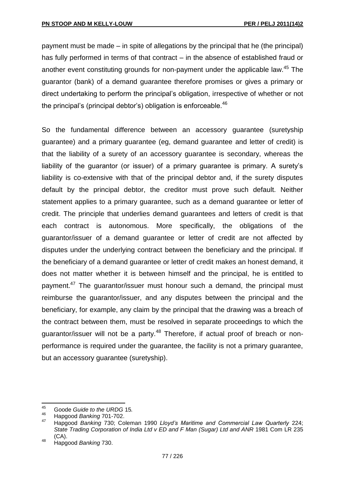payment must be made – in spite of allegations by the principal that he (the principal) has fully performed in terms of that contract – in the absence of established fraud or another event constituting grounds for non-payment under the applicable law.<sup>45</sup> The guarantor (bank) of a demand guarantee therefore promises or gives a primary or direct undertaking to perform the principal's obligation, irrespective of whether or not the principal's (principal debtor's) obligation is enforceable. $46$ 

So the fundamental difference between an accessory guarantee (suretyship guarantee) and a primary guarantee (eg, demand guarantee and letter of credit) is that the liability of a surety of an accessory guarantee is secondary, whereas the liability of the guarantor (or issuer) of a primary guarantee is primary. A surety's liability is co-extensive with that of the principal debtor and, if the surety disputes default by the principal debtor, the creditor must prove such default. Neither statement applies to a primary guarantee, such as a demand guarantee or letter of credit. The principle that underlies demand guarantees and letters of credit is that each contract is autonomous. More specifically, the obligations of the guarantor/issuer of a demand guarantee or letter of credit are not affected by disputes under the underlying contract between the beneficiary and the principal. If the beneficiary of a demand guarantee or letter of credit makes an honest demand, it does not matter whether it is between himself and the principal, he is entitled to payment.<sup>47</sup> The guarantor/issuer must honour such a demand, the principal must reimburse the guarantor/issuer, and any disputes between the principal and the beneficiary, for example, any claim by the principal that the drawing was a breach of the contract between them, must be resolved in separate proceedings to which the guarantor/issuer will not be a party.<sup>48</sup> Therefore, if actual proof of breach or nonperformance is required under the guarantee, the facility is not a primary guarantee, but an accessory guarantee (suretyship).

<sup>45</sup> <sup>45</sup> Goode *Guide to the URDG* 15*.*

<sup>46</sup> Hapgood *Banking* 701-702.

<sup>47</sup> Hapgood *Banking* 730; Coleman 1990 *Lloyd's Maritime and Commercial Law Quarterly* 224; *State Trading Corporation of India Ltd v ED and F Man (Sugar) Ltd and ANR* 1981 Com LR 235  $(CA)$ .

<sup>48</sup> Hapgood *Banking* 730.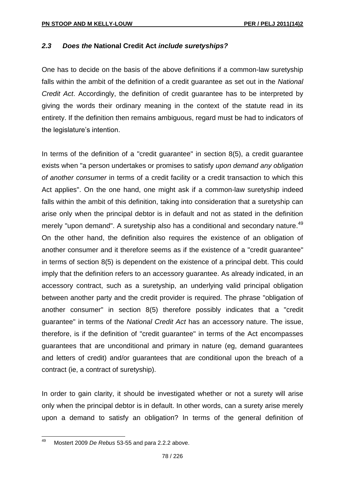# *2.3 Does the* **National Credit Act** *include suretyships?*

One has to decide on the basis of the above definitions if a common-law suretyship falls within the ambit of the definition of a credit guarantee as set out in the *National Credit Act*. Accordingly, the definition of credit guarantee has to be interpreted by giving the words their ordinary meaning in the context of the statute read in its entirety. If the definition then remains ambiguous, regard must be had to indicators of the legislature's intention.

In terms of the definition of a "credit guarantee" in section 8(5), a credit guarantee exists when "a person undertakes or promises to satisfy *upon demand any obligation of another consumer* in terms of a credit facility or a credit transaction to which this Act applies". On the one hand, one might ask if a common-law suretyship indeed falls within the ambit of this definition, taking into consideration that a suretyship can arise only when the principal debtor is in default and not as stated in the definition merely "upon demand". A suretyship also has a conditional and secondary nature.<sup>49</sup> On the other hand, the definition also requires the existence of an obligation of another consumer and it therefore seems as if the existence of a "credit guarantee" in terms of section 8(5) is dependent on the existence of a principal debt. This could imply that the definition refers to an accessory guarantee. As already indicated, in an accessory contract, such as a suretyship, an underlying valid principal obligation between another party and the credit provider is required. The phrase "obligation of another consumer" in section 8(5) therefore possibly indicates that a "credit guarantee" in terms of the *National Credit Act* has an accessory nature. The issue, therefore, is if the definition of "credit guarantee" in terms of the Act encompasses guarantees that are unconditional and primary in nature (eg, demand guarantees and letters of credit) and/or guarantees that are conditional upon the breach of a contract (ie, a contract of suretyship).

In order to gain clarity, it should be investigated whether or not a surety will arise only when the principal debtor is in default. In other words, can a surety arise merely upon a demand to satisfy an obligation? In terms of the general definition of

<sup>49</sup> <sup>49</sup> Mostert 2009 *De Rebus* 53-55 and para 2.2.2 above.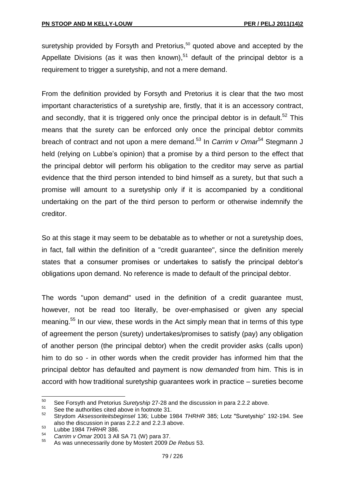suretyship provided by Forsyth and Pretorius,<sup>50</sup> quoted above and accepted by the Appellate Divisions (as it was then known), $51$  default of the principal debtor is a requirement to trigger a suretyship, and not a mere demand.

From the definition provided by Forsyth and Pretorius it is clear that the two most important characteristics of a suretyship are, firstly, that it is an accessory contract, and secondly, that it is triggered only once the principal debtor is in default.<sup>52</sup> This means that the surety can be enforced only once the principal debtor commits breach of contract and not upon a mere demand.<sup>53</sup> In *Carrim v Omar*<sup>54</sup> Stegmann J held (relying on Lubbe's opinion) that a promise by a third person to the effect that the principal debtor will perform his obligation to the creditor may serve as partial evidence that the third person intended to bind himself as a surety, but that such a promise will amount to a suretyship only if it is accompanied by a conditional undertaking on the part of the third person to perform or otherwise indemnify the creditor.

So at this stage it may seem to be debatable as to whether or not a suretyship does, in fact, fall within the definition of a "credit guarantee", since the definition merely states that a consumer promises or undertakes to satisfy the principal debtor's obligations upon demand. No reference is made to default of the principal debtor.

The words "upon demand" used in the definition of a credit guarantee must, however, not be read too literally, be over-emphasised or given any special meaning.<sup>55</sup> In our view, these words in the Act simply mean that in terms of this type of agreement the person (surety) undertakes/promises to satisfy (pay) any obligation of another person (the principal debtor) when the credit provider asks (calls upon) him to do so - in other words when the credit provider has informed him that the principal debtor has defaulted and payment is now *demanded* from him. This is in accord with how traditional suretyship guarantees work in practice – sureties become

<sup>50</sup> <sup>50</sup> See Forsyth and Pretorius *Suretyship* 27-28 and the discussion in para 2.2.2 above.

 $^{51}$  See the authorities cited above in footnote 31.

<sup>52</sup> Strydom *Aksessoriteitsbeginsel* 136; Lubbe 1984 *THRHR* 385; Lotz "Suretyship" 192-194. See also the discussion in paras 2.2.2 and 2.2.3 above.

<sup>53</sup> Lubbe 1984 *THRHR* 386.

<sup>54</sup> *Carrim v Omar* 2001 3 All SA 71 (W) para 37.

<sup>55</sup> As was unnecessarily done by Mostert 2009 *De Rebus* 53.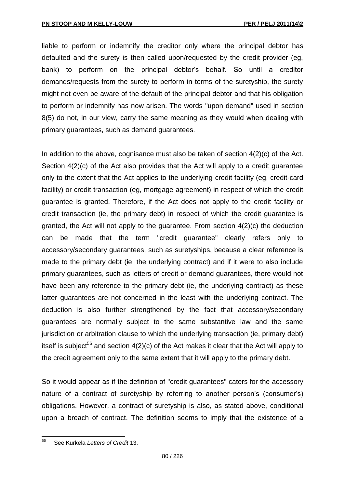liable to perform or indemnify the creditor only where the principal debtor has defaulted and the surety is then called upon/requested by the credit provider (eg, bank) to perform on the principal debtor's behalf. So until a creditor demands/requests from the surety to perform in terms of the suretyship, the surety might not even be aware of the default of the principal debtor and that his obligation to perform or indemnify has now arisen. The words "upon demand" used in section 8(5) do not, in our view, carry the same meaning as they would when dealing with primary guarantees, such as demand guarantees.

In addition to the above, cognisance must also be taken of section  $4(2)(c)$  of the Act. Section 4(2)(c) of the Act also provides that the Act will apply to a credit guarantee only to the extent that the Act applies to the underlying credit facility (eg, credit-card facility) or credit transaction (eg, mortgage agreement) in respect of which the credit guarantee is granted. Therefore, if the Act does not apply to the credit facility or credit transaction (ie, the primary debt) in respect of which the credit guarantee is granted, the Act will not apply to the guarantee. From section 4(2)(c) the deduction can be made that the term "credit guarantee" clearly refers only to accessory/secondary guarantees, such as suretyships, because a clear reference is made to the primary debt (ie, the underlying contract) and if it were to also include primary guarantees, such as letters of credit or demand guarantees, there would not have been any reference to the primary debt (ie, the underlying contract) as these latter guarantees are not concerned in the least with the underlying contract. The deduction is also further strengthened by the fact that accessory/secondary guarantees are normally subject to the same substantive law and the same jurisdiction or arbitration clause to which the underlying transaction (ie, primary debt) itself is subject<sup>56</sup> and section  $4(2)(c)$  of the Act makes it clear that the Act will apply to the credit agreement only to the same extent that it will apply to the primary debt.

So it would appear as if the definition of "credit guarantees" caters for the accessory nature of a contract of suretyship by referring to another person's (consumer's) obligations. However, a contract of suretyship is also, as stated above, conditional upon a breach of contract. The definition seems to imply that the existence of a

<sup>56</sup> <sup>56</sup> See Kurkela *Letters of Credit* 13.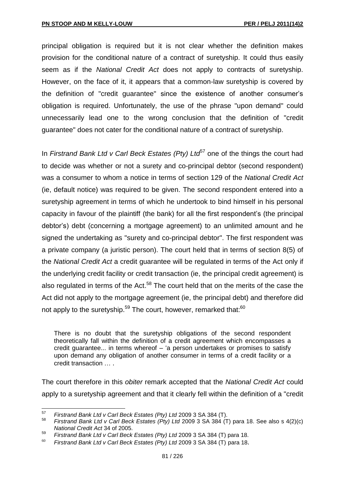principal obligation is required but it is not clear whether the definition makes provision for the conditional nature of a contract of suretyship. It could thus easily seem as if the *National Credit Act* does not apply to contracts of suretyship. However, on the face of it, it appears that a common-law suretyship is covered by the definition of "credit guarantee" since the existence of another consumer's obligation is required. Unfortunately, the use of the phrase "upon demand" could unnecessarily lead one to the wrong conclusion that the definition of "credit guarantee" does not cater for the conditional nature of a contract of suretyship.

In *Firstrand Bank Ltd v Carl Beck Estates (Pty) Ltd*<sup>57</sup> one of the things the court had to decide was whether or not a surety and co-principal debtor (second respondent) was a consumer to whom a notice in terms of section 129 of the *National Credit Act* (ie, default notice) was required to be given. The second respondent entered into a suretyship agreement in terms of which he undertook to bind himself in his personal capacity in favour of the plaintiff (the bank) for all the first respondent's (the principal debtor's) debt (concerning a mortgage agreement) to an unlimited amount and he signed the undertaking as "surety and co-principal debtor". The first respondent was a private company (a juristic person). The court held that in terms of section 8(5) of the *National Credit Act* a credit guarantee will be regulated in terms of the Act only if the underlying credit facility or credit transaction (ie, the principal credit agreement) is also regulated in terms of the Act.<sup>58</sup> The court held that on the merits of the case the Act did not apply to the mortgage agreement (ie, the principal debt) and therefore did not apply to the suretyship.<sup>59</sup> The court, however, remarked that:<sup>60</sup>

There is no doubt that the suretyship obligations of the second respondent theoretically fall within the definition of a credit agreement which encompasses a credit guarantee... in terms whereof – 'a person undertakes or promises to satisfy upon demand any obligation of another consumer in terms of a credit facility or a credit transaction … .

The court therefore in this *obiter* remark accepted that the *National Credit Act* could apply to a suretyship agreement and that it clearly fell within the definition of a "credit

<sup>57</sup> <sup>57</sup> *Firstrand Bank Ltd v Carl Beck Estates (Pty) Ltd* 2009 3 SA 384 (T).

<sup>58</sup> *Firstrand Bank Ltd v Carl Beck Estates (Pty) Ltd* 2009 3 SA 384 (T) para 18. See also s 4(2)(c) *National Credit Act* 34 of 2005.

<sup>59</sup> *Firstrand Bank Ltd v Carl Beck Estates (Pty) Ltd* 2009 3 SA 384 (T) para 18.

<sup>60</sup> *Firstrand Bank Ltd v Carl Beck Estates (Pty) Ltd* 2009 3 SA 384 (T) para 18.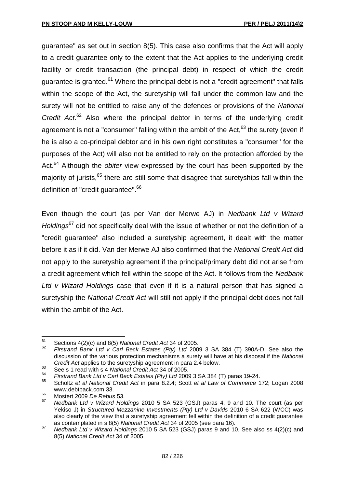guarantee" as set out in section 8(5). This case also confirms that the Act will apply to a credit guarantee only to the extent that the Act applies to the underlying credit facility or credit transaction (the principal debt) in respect of which the credit guarantee is granted.<sup>61</sup> Where the principal debt is not a "credit agreement" that falls within the scope of the Act, the suretyship will fall under the common law and the surety will not be entitled to raise any of the defences or provisions of the *National Credit Act*. <sup>62</sup> Also where the principal debtor in terms of the underlying credit agreement is not a "consumer" falling within the ambit of the Act, $63$  the surety (even if he is also a co-principal debtor and in his own right constitutes a "consumer" for the purposes of the Act) will also not be entitled to rely on the protection afforded by the Act.<sup>64</sup> Although the *obiter* view expressed by the court has been supported by the majority of jurists,<sup>65</sup> there are still some that disagree that suretyships fall within the definition of "credit guarantee".<sup>66</sup>

Even though the court (as per Van der Merwe AJ) in *Nedbank Ltd v Wizard Holdings*<sup>67</sup> did not specifically deal with the issue of whether or not the definition of a "credit guarantee" also included a suretyship agreement, it dealt with the matter before it as if it did. Van der Merwe AJ also confirmed that the *National Credit Act* did not apply to the suretyship agreement if the principal/primary debt did not arise from a credit agreement which fell within the scope of the Act. It follows from the *Nedbank Ltd v Wizard Holdings* case that even if it is a natural person that has signed a suretyship the *National Credit Act* will still not apply if the principal debt does not fall within the ambit of the Act.

<sup>61</sup> <sup>61</sup> Sections 4(2)(c) and 8(5) *National Credit Act* 34 of 2005.

<sup>62</sup> *Firstrand Bank Ltd v Carl Beck Estates (Pty) Ltd* 2009 3 SA 384 (T) 390A-D. See also the discussion of the various protection mechanisms a surety will have at his disposal if the *National Credit Act* applies to the suretyship agreement in para 2.4 below.

<sup>63</sup> See s 1 read with s 4 *National Credit Act* 34 of 2005.

<sup>64</sup> *Firstrand Bank Ltd v Carl Beck Estates (Pty) Ltd* 2009 3 SA 384 (T) paras 19-24.

<sup>65</sup> Scholtz *et al National Credit Act* in para 8.2.4; Scott *et al Law of Commerce* 172; Logan 2008 www.debtpack.com 33.

<sup>66</sup> Mostert 2009 *De Rebus* 53.

<sup>67</sup> *Nedbank Ltd v Wizard Holdings* 2010 5 SA 523 (GSJ) paras 4, 9 and 10. The court (as per Yekiso J) in *Structured Mezzanine Investments (Pty) Ltd v Davids* 2010 6 SA 622 (WCC) was also clearly of the view that a suretyship agreement fell within the definition of a credit guarantee as contemplated in s 8(5) *National Credit Act* 34 of 2005 (see para 16).

<sup>67</sup> *Nedbank Ltd v Wizard Holdings* 2010 5 SA 523 (GSJ) paras 9 and 10. See also ss 4(2)(c) and 8(5) *National Credit Act* 34 of 2005.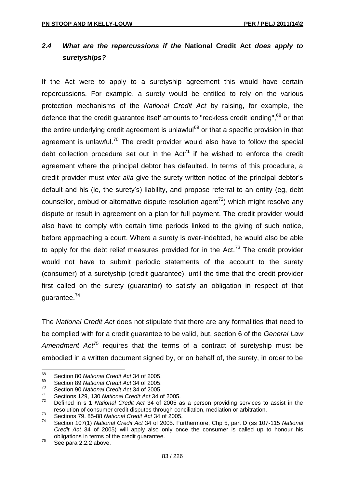# *2.4 What are the repercussions if the* **National Credit Act** *does apply to suretyships?*

If the Act were to apply to a suretyship agreement this would have certain repercussions. For example, a surety would be entitled to rely on the various protection mechanisms of the *National Credit Act* by raising, for example, the defence that the credit guarantee itself amounts to "reckless credit lending",<sup>68</sup> or that the entire underlying credit agreement is unlawful<sup>69</sup> or that a specific provision in that agreement is unlawful. $70$  The credit provider would also have to follow the special debt collection procedure set out in the  $Act^{71}$  if he wished to enforce the credit agreement where the principal debtor has defaulted. In terms of this procedure, a credit provider must *inter alia* give the surety written notice of the principal debtor's default and his (ie, the surety's) liability, and propose referral to an entity (eg, debt counsellor, ombud or alternative dispute resolution agent<sup>72</sup>) which might resolve any dispute or result in agreement on a plan for full payment. The credit provider would also have to comply with certain time periods linked to the giving of such notice, before approaching a court. Where a surety is over-indebted, he would also be able to apply for the debt relief measures provided for in the Act.<sup>73</sup> The credit provider would not have to submit periodic statements of the account to the surety (consumer) of a suretyship (credit guarantee), until the time that the credit provider first called on the surety (guarantor) to satisfy an obligation in respect of that guarantee.<sup>74</sup>

The *National Credit Act* does not stipulate that there are any formalities that need to be complied with for a credit guarantee to be valid, but, section 6 of the *General Law Amendment Act*<sup>75</sup> requires that the terms of a contract of suretyship must be embodied in a written document signed by, or on behalf of, the surety, in order to be

<sup>68</sup> <sup>68</sup> Section 80 *National Credit Act* 34 of 2005.

<sup>69</sup> Section 89 *National Credit Act* 34 of 2005.

<sup>70</sup> Section 90 *National Credit Act* 34 of 2005.

<sup>71</sup> Sections 129, 130 *National Credit Act* 34 of 2005.

<sup>72</sup> Defined in s 1 *National Credit Act* 34 of 2005 as a person providing services to assist in the resolution of consumer credit disputes through conciliation, mediation or arbitration.

<sup>73</sup> Sections 79, 85-88 *National Credit Act* 34 of 2005.

<sup>74</sup> Section 107(1) *National Credit Act* 34 of 2005. Furthermore, Chp 5, part D (ss 107-115 *National Credit Act* 34 of 2005) will apply also only once the consumer is called up to honour his obligations in terms of the credit guarantee.

<sup>&</sup>lt;sup>75</sup> See para 2.2.2 above.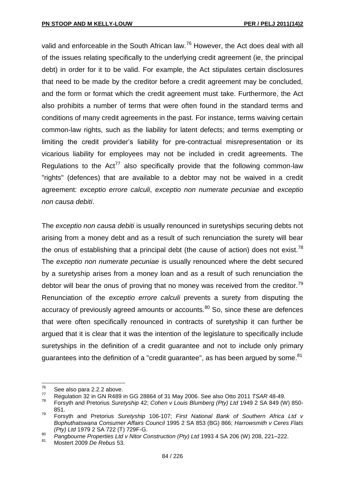valid and enforceable in the South African law.<sup>76</sup> However, the Act does deal with all of the issues relating specifically to the underlying credit agreement (ie, the principal debt) in order for it to be valid. For example, the Act stipulates certain disclosures that need to be made by the creditor before a credit agreement may be concluded, and the form or format which the credit agreement must take. Furthermore, the Act also prohibits a number of terms that were often found in the standard terms and conditions of many credit agreements in the past. For instance, terms waiving certain common-law rights, such as the liability for latent defects; and terms exempting or limiting the credit provider's liability for pre-contractual misrepresentation or its vicarious liability for employees may not be included in credit agreements. The Regulations to the Act<sup>77</sup> also specifically provide that the following common-law "rights" (defences) that are available to a debtor may not be waived in a credit agreement: *exceptio errore calculi*, *exceptio non numerate pecuniae* and *exceptio non causa debiti*.

The *exceptio non causa debiti* is usually renounced in suretyships securing debts not arising from a money debt and as a result of such renunciation the surety will bear the onus of establishing that a principal debt (the cause of action) does not exist.<sup>78</sup> The *exceptio non numerate pecuniae* is usually renounced where the debt secured by a suretyship arises from a money loan and as a result of such renunciation the debtor will bear the onus of proving that no money was received from the creditor.<sup>79</sup> Renunciation of the *exceptio errore calculi* prevents a surety from disputing the accuracy of previously agreed amounts or accounts.<sup>80</sup> So, since these are defences that were often specifically renounced in contracts of suretyship it can further be argued that it is clear that it was the intention of the legislature to specifically include suretyships in the definition of a credit guarantee and not to include only primary guarantees into the definition of a "credit guarantee", as has been argued by some.<sup>81</sup>

<sup>76</sup>  $^{76}$  See also para 2.2.2 above.

<sup>77</sup> Regulation 32 in GN R489 in GG 28864 of 31 May 2006. See also Otto 2011 *TSAR* 48-49.

<sup>78</sup> Forsyth and Pretorius *Suretyship* 42; *Cohen v Louis Blumberg (Pty) Ltd* 1949 2 SA 849 (W) 850- 851.

<sup>79</sup> Forsyth and Pretorius *Suretyship* 106-107; *First National Bank of Southern Africa Ltd v Bophuthatswana Consumer Affairs Council* 1995 2 SA 853 (BG) 866; *Harrowsmith v Ceres Flats (Pty) Ltd* 1979 2 SA 722 (T) 729F-G.

<sup>80</sup> *Pangbourne Properties Ltd v Nitor Construction (Pty) Ltd* 1993 4 SA 206 (W) 208, 221–222.<br><sup>81</sup> Mestation Properties Ltd v Nitor Construction (Pty) Ltd 1993 4 SA 206 (W) 208, 221–222.

<sup>81</sup> Mostert 2009 *De Rebus* 53.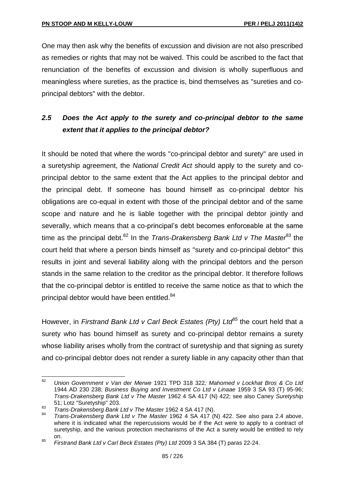One may then ask why the benefits of excussion and division are not also prescribed as remedies or rights that may not be waived. This could be ascribed to the fact that renunciation of the benefits of excussion and division is wholly superfluous and meaningless where sureties, as the practice is, bind themselves as "sureties and coprincipal debtors" with the debtor.

# *2.5 Does the Act apply to the surety and co-principal debtor to the same extent that it applies to the principal debtor?*

It should be noted that where the words "co-principal debtor and surety" are used in a suretyship agreement, the *National Credit Act* should apply to the surety and coprincipal debtor to the same extent that the Act applies to the principal debtor and the principal debt. If someone has bound himself as co-principal debtor his obligations are co-equal in extent with those of the principal debtor and of the same scope and nature and he is liable together with the principal debtor jointly and severally, which means that a co-principal's debt becomes enforceable at the same time as the principal debt.<sup>82</sup> In the *Trans-Drakensberg Bank Ltd v The Master*<sup>83</sup> the court held that where a person binds himself as "surety and co-principal debtor" this results in joint and several liability along with the principal debtors and the person stands in the same relation to the creditor as the principal debtor. It therefore follows that the co-principal debtor is entitled to receive the same notice as that to which the principal debtor would have been entitled.<sup>84</sup>

However, in *Firstrand Bank Ltd v Carl Beck Estates (Pty) Ltd<sup>85</sup>* the court held that a surety who has bound himself as surety and co-principal debtor remains a surety whose liability arises wholly from the contract of suretyship and that signing as surety and co-principal debtor does not render a surety liable in any capacity other than that

<sup>82</sup> <sup>82</sup> *Union Government v Van der Merwe* 1921 TPD 318 322*; Mahomed v Lockhat Bros & Co Ltd*  1944 AD 230 238; *Business Buying and Investment Co Ltd v Linaae* 1959 3 SA 93 (T) 95-96; *Trans-Drakensberg Bank Ltd v The Master* 1962 4 SA 417 (N) 422; see also Caney *Suretyship* 51; Lotz "Suretyship" 203.

<sup>83</sup> *Trans-Drakensberg Bank Ltd v The Master* 1962 4 SA 417 (N).

<sup>84</sup> *Trans-Drakensberg Bank Ltd v The Master* 1962 4 SA 417 (N) 422. See also para 2.4 above, where it is indicated what the repercussions would be if the Act were to apply to a contract of suretyship, and the various protection mechanisms of the Act a surety would be entitled to rely on.

<sup>85</sup> *Firstrand Bank Ltd v Carl Beck Estates (Pty) Ltd* 2009 3 SA 384 (T) paras 22-24.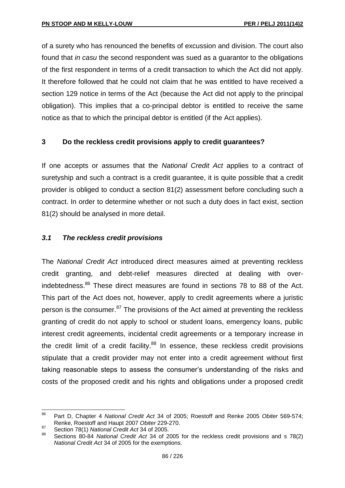of a surety who has renounced the benefits of excussion and division. The court also found that *in casu* the second respondent was sued as a guarantor to the obligations of the first respondent in terms of a credit transaction to which the Act did not apply. It therefore followed that he could not claim that he was entitled to have received a section 129 notice in terms of the Act (because the Act did not apply to the principal obligation). This implies that a co-principal debtor is entitled to receive the same notice as that to which the principal debtor is entitled (if the Act applies).

## **3 Do the reckless credit provisions apply to credit guarantees?**

If one accepts or assumes that the *National Credit Act* applies to a contract of suretyship and such a contract is a credit guarantee, it is quite possible that a credit provider is obliged to conduct a section 81(2) assessment before concluding such a contract. In order to determine whether or not such a duty does in fact exist, section 81(2) should be analysed in more detail.

### *3.1 The reckless credit provisions*

The *National Credit Act* introduced direct measures aimed at preventing reckless credit granting, and debt-relief measures directed at dealing with overindebtedness. <sup>86</sup> These direct measures are found in sections 78 to 88 of the Act. This part of the Act does not, however, apply to credit agreements where a juristic person is the consumer. $87$  The provisions of the Act aimed at preventing the reckless granting of credit do not apply to school or student loans, emergency loans, public interest credit agreements, incidental credit agreements or a temporary increase in the credit limit of a credit facility.<sup>88</sup> In essence, these reckless credit provisions stipulate that a credit provider may not enter into a credit agreement without first taking reasonable steps to assess the consumer's understanding of the risks and costs of the proposed credit and his rights and obligations under a proposed credit

<sup>86</sup> <sup>86</sup> Part D, Chapter 4 *National Credit Act* 34 of 2005; Roestoff and Renke 2005 *Obiter* 569-574; Renke, Roestoff and Haupt 2007 *Obiter* 229-270.

<sup>87</sup> Section 78(1) *National Credit Act* 34 of 2005.

<sup>88</sup> Sections 80-84 *National Credit Act* 34 of 2005 for the reckless credit provisions and s 78(2) *National Credit Act* 34 of 2005 for the exemptions.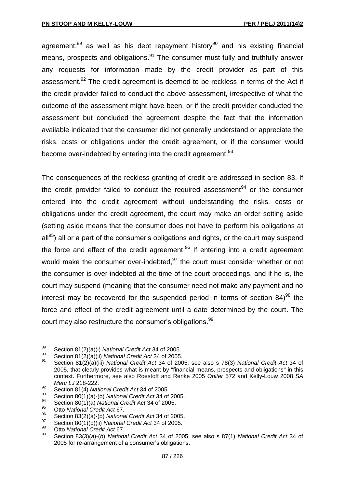agreement;<sup>89</sup> as well as his debt repayment history<sup>90</sup> and his existing financial means, prospects and obligations.<sup>91</sup> The consumer must fully and truthfully answer any requests for information made by the credit provider as part of this assessment. $92$  The credit agreement is deemed to be reckless in terms of the Act if the credit provider failed to conduct the above assessment, irrespective of what the outcome of the assessment might have been, or if the credit provider conducted the assessment but concluded the agreement despite the fact that the information available indicated that the consumer did not generally understand or appreciate the risks, costs or obligations under the credit agreement, or if the consumer would become over-indebted by entering into the credit agreement.<sup>93</sup>

The consequences of the reckless granting of credit are addressed in section 83. If the credit provider failed to conduct the required assessment<sup>94</sup> or the consumer entered into the credit agreement without understanding the risks, costs or obligations under the credit agreement, the court may make an order setting aside (setting aside means that the consumer does not have to perform his obligations at  $|a||^{95}$ ) all or a part of the consumer's obligations and rights, or the court may suspend the force and effect of the credit agreement. $96$  If entering into a credit agreement would make the consumer over-indebted,  $97$  the court must consider whether or not the consumer is over-indebted at the time of the court proceedings, and if he is, the court may suspend (meaning that the consumer need not make any payment and no interest may be recovered for the suspended period in terms of section  $84$ <sup>98</sup> the force and effect of the credit agreement until a date determined by the court. The court may also restructure the consumer's obligations.<sup>99</sup>

<sup>89</sup> <sup>89</sup> Section 81(2)(a)(i) *National Credit Act* 34 of 2005.

<sup>90</sup> Section 81(2)(a)(ii) *National Credit Act* 34 of 2005.

<sup>91</sup> Section 81(2)(a)(iii) *National Credit Act* 34 of 2005; see also s 78(3) *National Credit Act* 34 of 2005, that clearly provides what is meant by "financial means, prospects and obligations" in this context. Furthermore, see also Roestoff and Renke 2005 *Obiter* 572 and Kelly-Louw 2008 *SA Merc LJ* 218-222.

<sup>92</sup> Section 81(4) *National Credit Act* 34 of 2005.

<sup>93</sup> Section 80(1)(a)-(b) *National Credit Act* 34 of 2005.

<sup>94</sup> Section 80(1)(a) *National Credit Act* 34 of 2005.

<sup>95</sup> Otto *National Credit Act* 67.

<sup>96</sup> Section 83(2)(a)-(b) *National Credit Act* 34 of 2005.

<sup>97</sup> Section 80(1)(b)(ii) *National Credit Act* 34 of 2005.

<sup>98</sup> Otto *National Credit Act* 67.

<sup>99</sup> Section 83(3)(*a*)-(*b*) *National Credit Act* 34 of 2005; see also s 87(1) *National Credit Act* 34 of 2005 for re-arrangement of a consumer's obligations.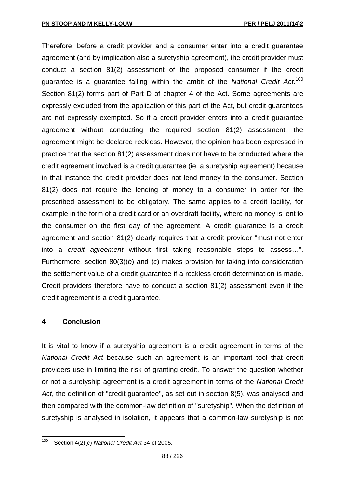Therefore, before a credit provider and a consumer enter into a credit guarantee agreement (and by implication also a suretyship agreement), the credit provider must conduct a section 81(2) assessment of the proposed consumer if the credit guarantee is a guarantee falling within the ambit of the *National Credit Act*. 100 Section 81(2) forms part of Part D of chapter 4 of the Act. Some agreements are expressly excluded from the application of this part of the Act, but credit guarantees are not expressly exempted. So if a credit provider enters into a credit guarantee agreement without conducting the required section 81(2) assessment, the agreement might be declared reckless. However, the opinion has been expressed in practice that the section 81(2) assessment does not have to be conducted where the credit agreement involved is a credit guarantee (ie, a suretyship agreement) because in that instance the credit provider does not lend money to the consumer. Section 81(2) does not require the lending of money to a consumer in order for the prescribed assessment to be obligatory. The same applies to a credit facility, for example in the form of a credit card or an overdraft facility, where no money is lent to the consumer on the first day of the agreement. A credit guarantee is a credit agreement and section 81(2) clearly requires that a credit provider "must not enter into a *credit agreement* without first taking reasonable steps to assess…". Furthermore, section 80(3)(*b*) and (*c*) makes provision for taking into consideration the settlement value of a credit guarantee if a reckless credit determination is made. Credit providers therefore have to conduct a section 81(2) assessment even if the credit agreement is a credit guarantee.

### **4 Conclusion**

It is vital to know if a suretyship agreement is a credit agreement in terms of the *National Credit Act* because such an agreement is an important tool that credit providers use in limiting the risk of granting credit. To answer the question whether or not a suretyship agreement is a credit agreement in terms of the *National Credit Act*, the definition of "credit guarantee", as set out in section 8(5), was analysed and then compared with the common-law definition of "suretyship". When the definition of suretyship is analysed in isolation, it appears that a common-law suretyship is not

<sup>100</sup> <sup>100</sup> Section 4(2)(*c*) *National Credit Act* 34 of 2005.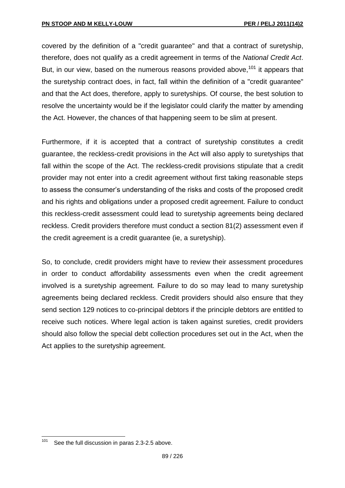covered by the definition of a "credit guarantee" and that a contract of suretyship, therefore, does not qualify as a credit agreement in terms of the *National Credit Act*. But, in our view, based on the numerous reasons provided above,  $101$  it appears that the suretyship contract does, in fact, fall within the definition of a "credit guarantee" and that the Act does, therefore, apply to suretyships. Of course, the best solution to resolve the uncertainty would be if the legislator could clarify the matter by amending the Act. However, the chances of that happening seem to be slim at present.

Furthermore, if it is accepted that a contract of suretyship constitutes a credit guarantee, the reckless-credit provisions in the Act will also apply to suretyships that fall within the scope of the Act. The reckless-credit provisions stipulate that a credit provider may not enter into a credit agreement without first taking reasonable steps to assess the consumer's understanding of the risks and costs of the proposed credit and his rights and obligations under a proposed credit agreement. Failure to conduct this reckless-credit assessment could lead to suretyship agreements being declared reckless. Credit providers therefore must conduct a section 81(2) assessment even if the credit agreement is a credit guarantee (ie, a suretyship).

So, to conclude, credit providers might have to review their assessment procedures in order to conduct affordability assessments even when the credit agreement involved is a suretyship agreement. Failure to do so may lead to many suretyship agreements being declared reckless. Credit providers should also ensure that they send section 129 notices to co-principal debtors if the principle debtors are entitled to receive such notices. Where legal action is taken against sureties, credit providers should also follow the special debt collection procedures set out in the Act, when the Act applies to the suretyship agreement.

 $101$ See the full discussion in paras 2.3-2.5 above.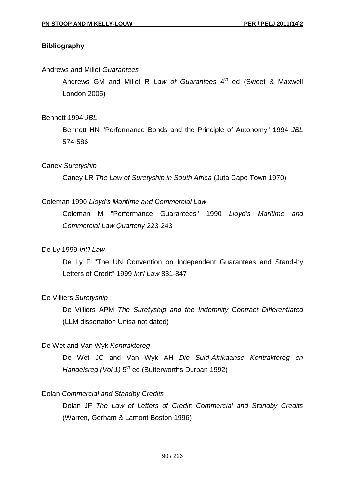### **Bibliography**

#### Andrews and Millet *Guarantees*

Andrews GM and Millet R Law of Guarantees 4<sup>th</sup> ed (Sweet & Maxwell London 2005)

### Bennett 1994 *JBL*

Bennett HN "Performance Bonds and the Principle of Autonomy" 1994 *JBL* 574-586

#### Caney *Suretyship*

Caney LR *The Law of Suretyship in South Africa* (Juta Cape Town 1970)

### Coleman 1990 *Lloyd's Maritime and Commercial Law*

Coleman M "Performance Guarantees" 1990 *Lloyd's Maritime and Commercial Law Quarterly* 223-243

#### De Ly 1999 *Int'l Law*

De Ly F "The UN Convention on Independent Guarantees and Stand-by Letters of Credit" 1999 *Int'l Law* 831-847

#### De Villiers *Suretyship*

De Villiers APM *The Suretyship and the Indemnity Contract Differentiated* (LLM dissertation Unisa not dated)

## De Wet and Van Wyk *Kontraktereg*

De Wet JC and Van Wyk AH *Die Suid-Afrikaanse Kontraktereg en*  Handelsreg (Vol 1) 5<sup>th</sup> ed (Butterworths Durban 1992)

### Dolan *Commercial and Standby Credits*

Dolan JF *The Law of Letters of Credit: Commercial and Standby Credits* (Warren, Gorham & Lamont Boston 1996)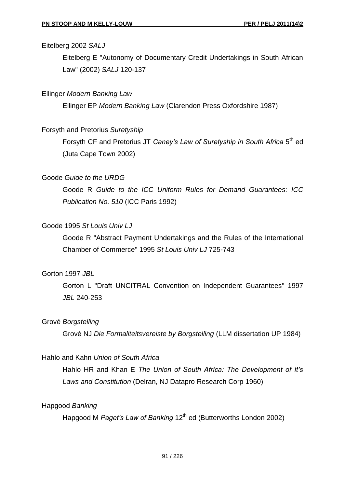### Eitelberg 2002 *SALJ*

Eitelberg E "Autonomy of Documentary Credit Undertakings in South African Law" (2002) *SALJ* 120-137

### Ellinger *Modern Banking Law*

Ellinger EP *Modern Banking Law* (Clarendon Press Oxfordshire 1987)

### Forsyth and Pretorius *Suretyship*

Forsyth CF and Pretorius JT Caney's Law of Suretyship in South Africa 5<sup>th</sup> ed (Juta Cape Town 2002)

### Goode *Guide to the URDG*

Goode R *Guide to the ICC Uniform Rules for Demand Guarantees: ICC Publication No. 510* (ICC Paris 1992)

# Goode 1995 *St Louis Univ LJ*

Goode R "Abstract Payment Undertakings and the Rules of the International Chamber of Commerce" 1995 *St Louis Univ LJ* 725-743

#### Gorton 1997 *JBL*

Gorton L "Draft UNCITRAL Convention on Independent Guarantees" 1997 *JBL* 240-253

#### Grové *Borgstelling*

Grové NJ *Die Formaliteitsvereiste by Borgstelling* (LLM dissertation UP 1984)

#### Hahlo and Kahn *Union of South Africa*

Hahlo HR and Khan E *The Union of South Africa: The Development of It's Laws and Constitution* (Delran, NJ Datapro Research Corp 1960)

### Hapgood *Banking*

Hapgood M *Paget's Law of Banking* 12<sup>th</sup> ed (Butterworths London 2002)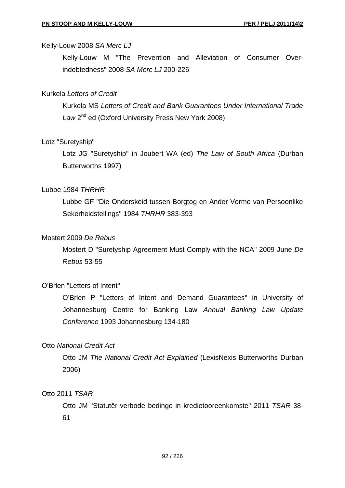# Kelly-Louw 2008 *SA Merc LJ*

Kelly-Louw M "The Prevention and Alleviation of Consumer Overindebtedness" 2008 *SA Merc LJ* 200-226

# Kurkela *Letters of Credit*

Kurkela MS *Letters of Credit and Bank Guarantees Under International Trade*  Law 2<sup>nd</sup> ed (Oxford University Press New York 2008)

## Lotz "Suretyship"

Lotz JG "Suretyship" in Joubert WA (ed) *The Law of South Africa* (Durban Butterworths 1997)

# Lubbe 1984 *THRHR*

Lubbe GF "Die Onderskeid tussen Borgtog en Ander Vorme van Persoonlike Sekerheidstellings" 1984 *THRHR* 383-393

# Mostert 2009 *De Rebus*

Mostert D "Suretyship Agreement Must Comply with the NCA" 2009 June *De Rebus* 53-55

# O'Brien "Letters of Intent"

O'Brien P "Letters of Intent and Demand Guarantees" in University of Johannesburg Centre for Banking Law *Annual Banking Law Update Conference* 1993 Johannesburg 134-180

# Otto *National Credit Act*

Otto JM *The National Credit Act Explained* (LexisNexis Butterworths Durban 2006)

# Otto 2011 *TSAR*

Otto JM "Statutêr verbode bedinge in kredietooreenkomste" 2011 *TSAR* 38- 61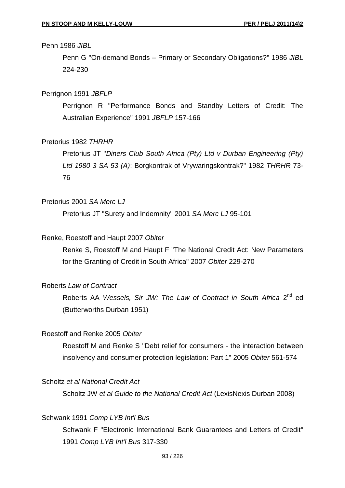#### Penn 1986 *JIBL*

Penn G "On-demand Bonds – Primary or Secondary Obligations?" 1986 *JIBL* 224-230

#### Perrignon 1991 *JBFLP*

Perrignon R "Performance Bonds and Standby Letters of Credit: The Australian Experience" 1991 *JBFLP* 157-166

#### Pretorius 1982 *THRHR*

Pretorius JT "*Diners Club South Africa (Pty) Ltd v Durban Engineering (Pty) Ltd 1980 3 SA 53 (A)*: Borgkontrak of Vrywaringskontrak?" 1982 *THRHR* 73- 76

# Pretorius 2001 *SA Merc LJ*

Pretorius JT "Surety and Indemnity" 2001 *SA Merc LJ* 95-101

### Renke, Roestoff and Haupt 2007 *Obiter*

Renke S, Roestoff M and Haupt F "The National Credit Act: New Parameters for the Granting of Credit in South Africa" 2007 *Obiter* 229-270

### Roberts *Law of Contract*

Roberts AA Wessels, Sir JW: The Law of Contract in South Africa 2<sup>nd</sup> ed (Butterworths Durban 1951)

### Roestoff and Renke 2005 *Obiter*

Roestoff M and Renke S "Debt relief for consumers - the interaction between insolvency and consumer protection legislation: Part 1" 2005 *Obiter* 561-574

Scholtz *et al National Credit Act* Scholtz JW *et al Guide to the National Credit Act* (LexisNexis Durban 2008)

#### Schwank 1991 *Comp LYB Int'l Bus*

Schwank F "Electronic International Bank Guarantees and Letters of Credit" 1991 *Comp LYB Int'l Bus* 317-330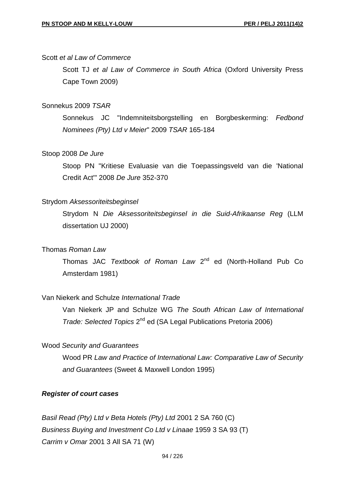#### Scott *et al Law of Commerce*

Scott TJ *et al Law of Commerce in South Africa* (Oxford University Press Cape Town 2009)

#### Sonnekus 2009 *TSAR*

Sonnekus JC "Indemniteitsborgstelling en Borgbeskerming: *Fedbond Nominees (Pty) Ltd v Meier*" 2009 *TSAR* 165-184

#### Stoop 2008 *De Jure*

Stoop PN "Kritiese Evaluasie van die Toepassingsveld van die 'National Credit Act'" 2008 *De Jure* 352-370

### Strydom *Aksessoriteitsbeginsel*

Strydom N *Die Aksessoriteitsbeginsel in die Suid-Afrikaanse Reg* (LLM dissertation UJ 2000)

### Thomas *Roman Law*

Thomas JAC *Textbook of Roman Law* 2<sup>nd</sup> ed (North-Holland Pub Co Amsterdam 1981)

#### Van Niekerk and Schulze *International Trade*

Van Niekerk JP and Schulze WG *The South African Law of International*  Trade: Selected Topics 2<sup>nd</sup> ed (SA Legal Publications Pretoria 2006)

### Wood *Security and Guarantees*

Wood PR *Law and Practice of International Law: Comparative Law of Security and Guarantees* (Sweet & Maxwell London 1995)

#### *Register of court cases*

*Basil Read (Pty) Ltd v Beta Hotels (Pty) Ltd* 2001 2 SA 760 (C) *Business Buying and Investment Co Ltd v Linaae* 1959 3 SA 93 (T) *Carrim v Omar* 2001 3 All SA 71 (W)

94 / 226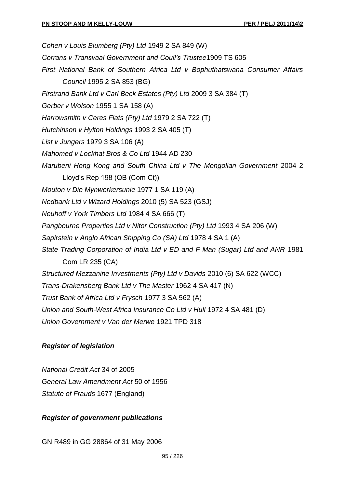*Cohen v Louis Blumberg (Pty) Ltd* 1949 2 SA 849 (W)

*Corrans v Transvaal Government and Coull's Trustee*1909 TS 605

- *First National Bank of Southern Africa Ltd v Bophuthatswana Consumer Affairs Council* 1995 2 SA 853 (BG)
- *Firstrand Bank Ltd v Carl Beck Estates (Pty) Ltd* 2009 3 SA 384 (T)
- *Gerber v Wolson* 1955 1 SA 158 (A)
- *Harrowsmith v Ceres Flats (Pty) Ltd* 1979 2 SA 722 (T)
- *Hutchinson v Hylton Holdings* 1993 2 SA 405 (T)
- *List v Jungers* 1979 3 SA 106 (A)
- *Mahomed v Lockhat Bros & Co Ltd* 1944 AD 230
- *Marubeni Hong Kong and South China Ltd v The Mongolian Government* 2004 2
	- Lloyd's Rep 198 (QB (Com Ct))
- *Mouton v Die Mynwerkersunie* 1977 1 SA 119 (A)
- *Nedbank Ltd v Wizard Holdings* 2010 (5) SA 523 (GSJ)
- *Neuhoff v York Timbers Ltd* 1984 4 SA 666 (T)
- *Pangbourne Properties Ltd v Nitor Construction (Pty) Ltd* 1993 4 SA 206 (W)
- *Sapirstein v Anglo African Shipping Co (SA) Ltd* 1978 4 SA 1 (A)
- *State Trading Corporation of India Ltd v ED and F Man (Sugar) Ltd and ANR* 1981 Com LR 235 (CA)
- *Structured Mezzanine Investments (Pty) Ltd v Davids* 2010 (6) SA 622 (WCC)
- *Trans-Drakensberg Bank Ltd v The Master* 1962 4 SA 417 (N)
- *Trust Bank of Africa Ltd v Frysch* 1977 3 SA 562 (A)
- *Union and South-West Africa Insurance Co Ltd v Hull* 1972 4 SA 481 (D)
- *Union Government v Van der Merwe* 1921 TPD 318

### *Register of legislation*

*National Credit Act* 34 of 2005 *General Law Amendment Act* 50 of 1956 *Statute of Frauds* 1677 (England)

#### *Register of government publications*

GN R489 in GG 28864 of 31 May 2006